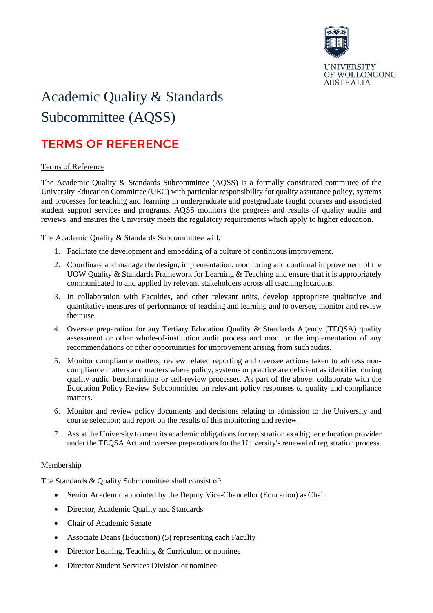

# Academic Quality & Standards Subcommittee (AQSS)

## TERMS OF REFERENCE

### Terms of Reference

The Academic Quality & Standards Subcommittee (AQSS) is a formally constituted committee of the University Education Committee (UEC) with particular responsibility for quality assurance policy, systems and processes for teaching and learning in undergraduate and postgraduate taught courses and associated student support services and programs. AQSS monitors the progress and results of quality audits and reviews, and ensures the University meets the regulatory requirements which apply to higher education.

The Academic Quality & Standards Subcommittee will:

- 1. Facilitate the development and embedding of a culture of continuousimprovement.
- 2. Coordinate and manage the design, implementation, monitoring and continual improvement of the UOW Quality & Standards Framework for Learning & Teaching and ensure that it is appropriately communicated to and applied by relevant stakeholders across all teaching locations.
- 3. In collaboration with Faculties, and other relevant units, develop appropriate qualitative and quantitative measures of performance of teaching and learning and to oversee, monitor and review their use.
- 4. Oversee preparation for any Tertiary Education Quality & Standards Agency (TEQSA) quality assessment or other whole-of-institution audit process and monitor the implementation of any recommendations or other opportunities for improvement arising from such audits.
- 5. Monitor compliance matters, review related reporting and oversee actions taken to address noncompliance matters and matters where policy, systems or practice are deficient as identified during quality audit, benchmarking or self-review processes. As part of the above, collaborate with the Education Policy Review Subcommittee on relevant policy responses to quality and compliance matters.
- 6. Monitor and review policy documents and decisions relating to admission to the University and course selection; and report on the results of this monitoring and review.
- 7. Assist the University to meet its academic obligations for registration as a higher education provider under the TEQSA Act and oversee preparations for the University's renewal of registration process.

### Membership

The Standards & Quality Subcommittee shall consist of:

- Senior Academic appointed by the Deputy Vice-Chancellor (Education) as Chair
- Director, Academic Quality and Standards
- Chair of Academic Senate
- Associate Deans (Education) (5) representing each Faculty
- Director Leaning, Teaching & Curriculum or nominee
- Director Student Services Division or nominee